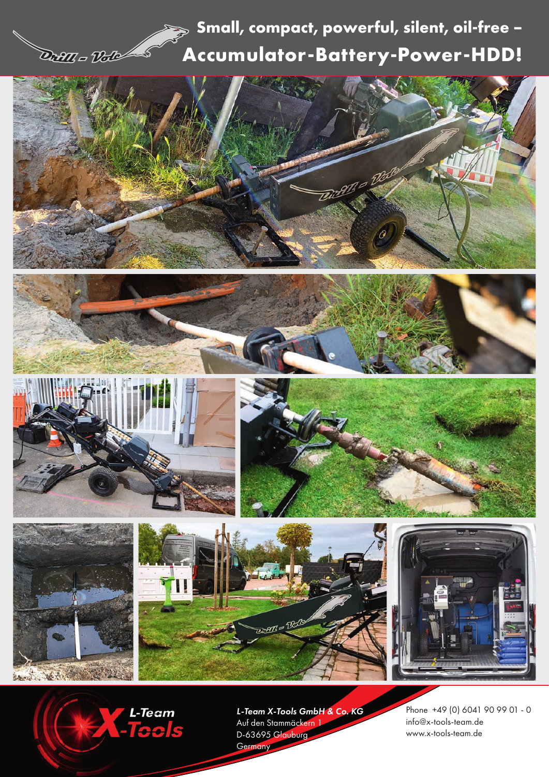## **Drang - Dollar Sock Accumulator-Battery-Power-HDD! Small, compact, powerful, silent, oil-free –**

















*L-Team X-Tools GmbH & Co. KG* Auf den Stammäckern 1 D-63695 Glauburg Germany

Phone +49 (0) 6041 90 99 01 - 0 info@x-tools-team.de www.x-tools-team.de